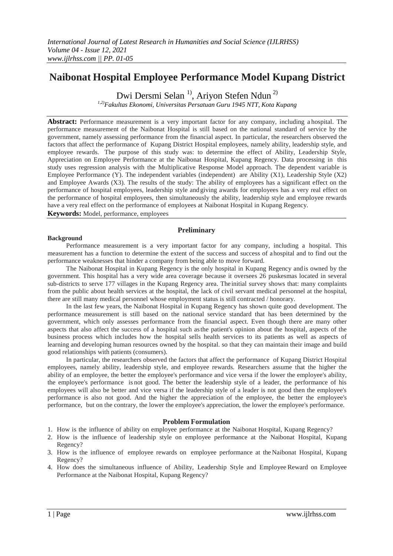# **Naibonat Hospital Employee Performance Model Kupang District**

Dwi Dersmi Selan<sup>1)</sup>, Ariyon Stefen Ndun<sup>2)</sup>

*1,2)Fakultas Ekonomi, Universitas Persatuan Guru 1945 NTT, Kota Kupang*

**Abstract:** Performance measurement is a very important factor for any company, including a hospital. The performance measurement of the Naibonat Hospital is still based on the national standard of service by the government, namely assessing performance from the financial aspect. In particular, the researchers observed the factors that affect the performance of Kupang District Hospital employees, namely ability, leadership style, and employee rewards. The purpose of this study was: to determine the effect of Ability, Leadership Style, Appreciation on Employee Performance at the Naibonat Hospital, Kupang Regency. Data processing in this study uses regression analysis with the Multiplicative Response Model approach. The dependent variable is Employee Performance (Y). The independent variables (independent) are Ability (X1), Leadership Style (X2) and Employee Awards (X3). The results of the study: The ability of employees has a significant effect on the performance of hospital employees, leadership style and giving awards for employees has a very real effect on the performance of hospital employees, then simultaneously the ability, leadership style and employee rewards have a very real effect on the performance of employees at Naibonat Hospital in Kupang Regency.

**Keywords:** Model, performance, employees

# **Preliminary**

## **Background**

Performance measurement is a very important factor for any company, including a hospital. This measurement has a function to determine the extent of the success and success of a hospital and to find out the performance weaknesses that hinder a company from being able to move forward.

The Naibonat Hospital in Kupang Regency is the only hospital in Kupang Regency andis owned by the government. This hospital has a very wide area coverage because it oversees 26 puskesmas located in several sub-districts to serve 177 villages in the Kupang Regency area. Theinitial survey shows that: many complaints from the public about health services at the hospital, the lack of civil servant medical personnel at the hospital, there are still many medical personnel whose employment status is still contracted / honorary.

In the last few years, the Naibonat Hospital in Kupang Regency has shown quite good development. The performance measurement is still based on the national service standard that has been determined by the government, which only assesses performance from the financial aspect. Even though there are many other aspects that also affect the success of a hospital such asthe patient's opinion about the hospital, aspects of the business process which includes how the hospital sells health services to its patients as well as aspects of learning and developing human resources owned by the hospital. so that they can maintain their image and build good relationships with patients (consumers).

In particular, the researchers observed the factors that affect the performance of Kupang District Hospital employees, namely ability, leadership style, and employee rewards. Researchers assume that the higher the ability of an employee, the better the employee's performance and vice versa if the lower the employee's ability, the employee's performance is not good. The better the leadership style of a leader, the performance of his employees will also be better and vice versa if the leadership style of a leader is not good then the employee's performance is also not good. And the higher the appreciation of the employee, the better the employee's performance, but on the contrary, the lower the employee's appreciation, the lower the employee's performance.

# **Problem Formulation**

- 1. How is the influence of ability on employee performance at the Naibonat Hospital, Kupang Regency?
- 2. How is the influence of leadership style on employee performance at the Naibonat Hospital, Kupang Regency?
- 3. How is the influence of employee rewards on employee performance at the Naibonat Hospital, Kupang Regency?
- 4. How does the simultaneous influence of Ability, Leadership Style and Employee Reward on Employee Performance at the Naibonat Hospital, Kupang Regency?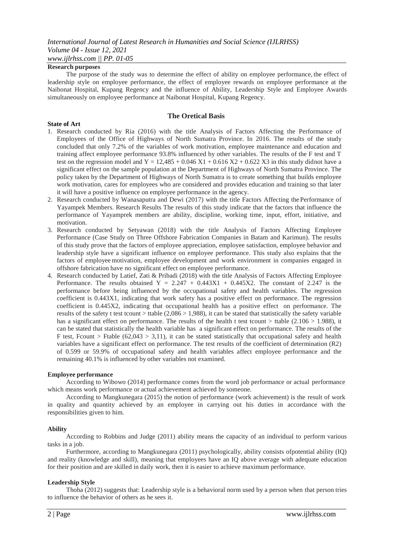#### **Research purposes**

The purpose of the study was to determine the effect of ability on employee performance, the effect of leadership style on employee performance, the effect of employee rewards on employee performance at the Naibonat Hospital, Kupang Regency and the influence of Ability, Leadership Style and Employee Awards simultaneously on employee performance at Naibonat Hospital, Kupang Regency.

## **The Oretical Basis**

#### **State of Art**

- 1. Research conducted by Ria (2016) with the title Analysis of Factors Affecting the Performance of Employees of the Office of Highways of North Sumatra Province. In 2016. The results of the study concluded that only 7.2% of the variables of work motivation, employee maintenance and education and training affect employee performance 93.8% influenced by other variables. The results of the F test and T test on the regression model and  $Y = 12,485 + 0.046 \text{ X1} + 0.616 \text{ X2} + 0.622 \text{ X3}$  in this study didnot have a significant effect on the sample population at the Department of Highways of North Sumatra Province. The policy taken by the Department of Highways of North Sumatra is to create something that builds employee work motivation, cares for employees who are considered and provides education and training so that later it will have a positive influence on employee performance in the agency.
- 2. Research conducted by Wanasaputra and Dewi (2017) with the title Factors Affecting the Performance of Yayampek Members. Research Results The results of this study indicate that the factors that influence the performance of Yayamprek members are ability, discipline, working time, input, effort, initiative, and motivation.
- 3. Research conducted by Setyawan (2018) with the title Analysis of Factors Affecting Employee Performance (Case Study on Three Offshore Fabrication Companies in Batam and Karimun). The results of this study prove that the factors of employee appreciation, employee satisfaction, employee behavior and leadership style have a significant influence on employee performance. This study also explains that the factors of employee motivation, employee development and work environment in companies engaged in offshore fabrication have no significant effect on employee performance.
- 4. Research conducted by Latief, Zati & Pribadi (2018) with the title Analysis of Factors Affecting Employee Performance. The results obtained  $Y = 2.247 + 0.443X1 + 0.445X2$ . The constant of 2.247 is the performance before being influenced by the occupational safety and health variables. The regression coefficient is 0.443X1, indicating that work safety has a positive effect on performance. The regression coefficient is 0.445X2, indicating that occupational health has a positive effect on performance. The results of the safety t test tcount  $>$  ttable (2,086  $>$  1,988), it can be stated that statistically the safety variable has a significant effect on performance. The results of the health t test tcount > ttable (2.106 > 1.988), it can be stated that statistically the health variable has a significant effect on performance. The results of the F test, Frount > Ftable (62,043 > 3,11), it can be stated statistically that occupational safety and health variables have a significant effect on performance. The test results of the coefficient of determination (R2) of 0.599 or 59.9% of occupational safety and health variables affect employee performance and the remaining 40.1% is influenced by other variables not examined.

## **Employee performance**

According to Wibowo (2014) performance comes from the word job performance or actual performance which means work performance or actual achievement achieved by someone.

According to Mangkunegara (2015) the notion of performance (work achievement) is the result of work in quality and quantity achieved by an employee in carrying out his duties in accordance with the responsibilities given to him.

#### **Ability**

According to Robbins and Judge (2011) ability means the capacity of an individual to perform various tasks in a job.

Furthermore, according to Mangkunegara (2011) psychologically, ability consists ofpotential ability (IQ) and reality (knowledge and skill), meaning that employees have an IQ above average with adequate education for their position and are skilled in daily work, then it is easier to achieve maximum performance.

#### **Leadership Style**

Thoha (2012) suggests that: Leadership style is a behavioral norm used by a person when that person tries to influence the behavior of others as he sees it.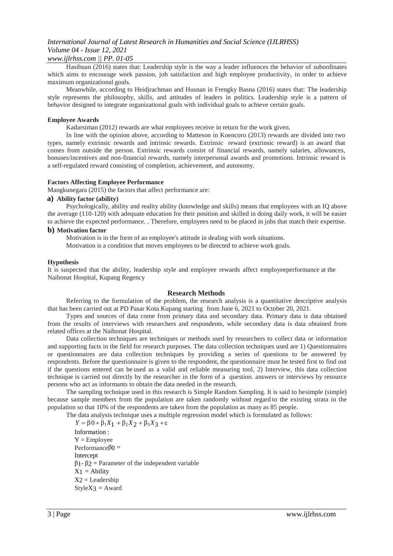# *International Journal of Latest Research in Humanities and Social Science (IJLRHSS) Volume 04 - Issue 12, 2021*

## *www.ijlrhss.com || PP. 01-05*

Hasibuan (2016) states that: Leadership style is the way a leader influences the behavior of subordinates which aims to encourage work passion, job satisfaction and high employee productivity, in order to achieve maximum organizational goals.

Meanwhile, according to Heidjrachman and Husnan in Frengky Basna (2016) states that: The leadership style represents the philosophy, skills, and attitudes of leaders in politics. Leadership style is a pattern of behavior designed to integrate organizational goals with individual goals to achieve certain goals.

#### **Employee Awards**

Kadarsiman (2012) rewards are what employees receive in return for the work given.

In line with the opinion above, according to Matteson in Koencoro (2013) rewards are divided into two types, namely extrinsic rewards and intrinsic rewards. Extrinsic reward (extrinsic reward) is an award that comes from outside the person. Extrinsic rewards consist of financial rewards, namely salaries, allowances, bonuses/incentives and non-financial rewards, namely interpersonal awards and promotions. Intrinsic reward is a self-regulated reward consisting of completion, achievement, and autonomy.

#### **Factors Affecting Employee Performance**

Mangkunegara (2015) the factors that affect performance are:

#### **a) Ability factor (ability)**

Psychologically, ability and reality ability (knowledge and skills) means that employees with an IQ above the average (110-120) with adequate education for their position and skilled in doing daily work, it will be easier to achieve the expected performance. . Therefore, employees need to be placed in jobs that match their expertise.

#### **b) Motivation factor**

Motivation is in the form of an employee's attitude in dealing with work situations.

Motivation is a condition that moves employees to be directed to achieve work goals.

#### **Hypothesis**

It is suspected that the ability, leadership style and employee rewards affect employeeperformance at the Naibonat Hospital, Kupang Regency

#### **Research Methods**

Referring to the formulation of the problem, the research analysis is a quantitative descriptive analysis that has been carried out at PD Pasar Kota Kupang starting from June 6, 2021 to October 20, 2021.

Types and sources of data come from primary data and secondary data. Primary data is data obtained from the results of interviews with researchers and respondents, while secondary data is data obtained from related offices at the Naibonat Hospital.

Data collection techniques are techniques or methods used by researchers to collect data or information and supporting facts in the field for research purposes. The data collection techniques used are 1) Questionnaires or questionnaires are data collection techniques by providing a series of questions to be answered by respondents. Before the questionnaire is given to the respondent, the questionnaire must be tested first to find out if the questions entered can be used as a valid and reliable measuring tool, 2) Interview, this data collection technique is carried out directly by the researcher in the form of a question. answers or interviews by resource persons who act as informants to obtain the data needed in the research.

The sampling technique used in this research is Simple Random Sampling. It is said to besimple (simple) because sample members from the population are taken randomly without regard to the existing strata in the population so that 10% of the respondents are taken from the population as many as 85 people.

The data analysis technique uses a multiple regression model which is formulated as follows:

 $Y = \beta 0 + \beta_1 X_1 + \beta_2 X_2 + \beta_3 X_3 + \varepsilon$ Information :  $Y =$  Employee Performanceβ0 = Intercept β1- β2 = Parameter of the independent variable  $X_1$  = Ability  $X2 =$ Leadership  $StyleX3 = Award$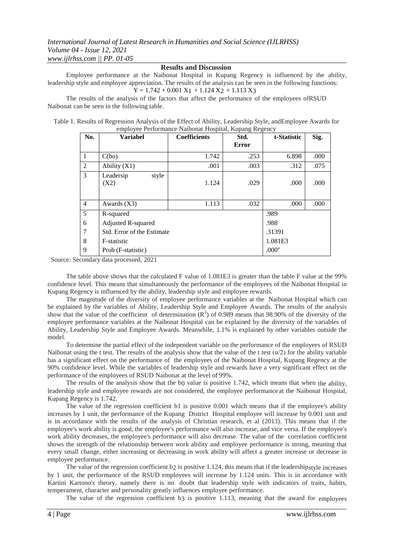# **Results and Discussion**

Employee performance at the Naibonat Hospital in Kupang Regency is influenced by the ability, leadership style and employee appreciation. The results of the analysis can be seen in the following functions:  $Y = 1.742 + 0.001 X1 + 1.124 X2 + 1.113 X3$ 

The results of the analysis of the factors that affect the performance of the employees ofRSUD Naibonat can be seen in the following table.

| Table 1. Results of Regression Analysis of the Effect of Ability, Leadership Style, and Employee Awards for |  |
|-------------------------------------------------------------------------------------------------------------|--|
| employee Performance Naibonat Hospital, Kupang Regency                                                      |  |

| No.            | <b>Variabel</b>            | <b>Coefficients</b> | Std.  | t-Statistic       | Sig. |
|----------------|----------------------------|---------------------|-------|-------------------|------|
|                |                            |                     | Error |                   |      |
| 1              | C(bo)                      | 1.742               | .253  | 6.898             | .000 |
| $\overline{2}$ | Ability $(X1)$             | .001                | .003  | .312              | .075 |
| 3              | style<br>Leadersip<br>(X2) | 1.124               | .029  | .000              | .000 |
| $\overline{4}$ | Awards $(X3)$              | 1.113               | .032  | .000              | .000 |
| 5              | R-squared                  |                     |       | .989              |      |
| 6              | Adjusted R-squared         |                     |       | .988              |      |
| 7              | Std. Error of the Estimate |                     |       | .31391            |      |
| 8              | F-statistic                |                     |       | 1.081E3           |      |
| 9              | Prob (F-statistic)         |                     |       | .000 <sup>a</sup> |      |

Source: Secondary data processed, 2021

The table above shows that the calculated F value of 1.081E3 is greater than the table F value at the 99% confidence level. This means that simultaneously the performance of the employees of the Naibonat Hospital in Kupang Regency is influenced by the ability, leadership style and employee rewards.

The magnitude of the diversity of employee performance variables at the Naibonat Hospital which can be explained by the variables of Ability, Leadership Style and Employee Awards. The results of the analysis show that the value of the coefficient of determination  $(R^2)$  of 0.989 means that 98.90% of the diversity of the employee performance variables at the Naibonat Hospital can be explained by the diversity of the variables of Ability, Leadership Style and Employee Awards. Meanwhile, 1.1% is explained by other variables outside the model.

To determine the partial effect of the independent variable on the performance of the employees of RSUD Naibonat using the t test. The results of the analysis show that the value of the t test  $(\alpha/2)$  for the ability variable has a significant effect on the performance of the employees of the Naibonat Hospital, Kupang Regency at the 90% confidence level. While the variables of leadership style and rewards have a very significant effect on the performance of the employees of RSUD Naibonat at the level of 99%.

The results of the analysis show that the b0 value is positive 1.742, which means that when the ability, leadership style and employee rewards are not considered, the employee performance at the Naibonat Hospital, Kupang Regency is 1.742.

The value of the regression coefficient b1 is positive 0.001 which means that if the employee's ability increases by 1 unit, the performance of the Kupang District Hospital employee will increase by 0.001 unit and is in accordance with the results of the analysis of Christian research, et al (2013). This means that if the employee's work ability is good, the employee's performance will also increase, and vice versa. If the employee's work ability decreases, the employee's performance will also decrease. The value of the correlation coefficient shows the strength of the relationship between work ability and employee performance is strong, meaning that every small change, either increasing or decreasing in work ability will affect a greater increase or decrease in employee performance.

The value of the regression coefficient b2 is positive 1.124, this means that if the leadershipstyle increases by 1 unit, the performance of the RSUD employees will increase by 1.124 units. This is in accordance with Kartini Kartono's theory, namely there is no doubt that leadership style with indicators of traits, habits, temperament, character and personality greatly influences employee performance.

The value of the regression coefficient b3 is positive 1.113, meaning that the award for employees